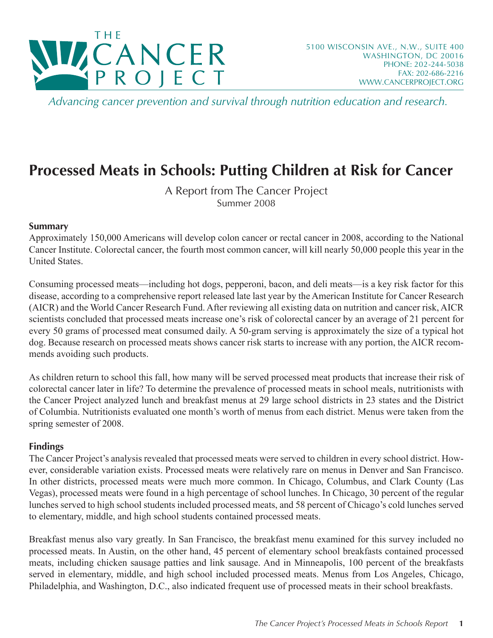

*Advancing cancer prevention and survival through nutrition education and research.*

# **Processed Meats in Schools: Putting Children at Risk for Cancer**

A Report from The Cancer Project Summer 2008

#### **Summary**

Approximately 150,000 Americans will develop colon cancer or rectal cancer in 2008, according to the National Cancer Institute. Colorectal cancer, the fourth most common cancer, will kill nearly 50,000 people this year in the United States.

Consuming processed meats—including hot dogs, pepperoni, bacon, and deli meats—is a key risk factor for this disease, according to a comprehensive report released late last year by the American Institute for Cancer Research (AICR) and the World Cancer Research Fund. After reviewing all existing data on nutrition and cancer risk, AICR scientists concluded that processed meats increase one's risk of colorectal cancer by an average of 21 percent for every 50 grams of processed meat consumed daily. A 50-gram serving is approximately the size of a typical hot dog. Because research on processed meats shows cancer risk starts to increase with any portion, the AICR recommends avoiding such products.

As children return to school this fall, how many will be served processed meat products that increase their risk of colorectal cancer later in life? To determine the prevalence of processed meats in school meals, nutritionists with the Cancer Project analyzed lunch and breakfast menus at 29 large school districts in 23 states and the District of Columbia. Nutritionists evaluated one month's worth of menus from each district. Menus were taken from the spring semester of 2008.

#### **Findings**

The Cancer Project's analysis revealed that processed meats were served to children in every school district. However, considerable variation exists. Processed meats were relatively rare on menus in Denver and San Francisco. In other districts, processed meats were much more common. In Chicago, Columbus, and Clark County (Las Vegas), processed meats were found in a high percentage of school lunches. In Chicago, 30 percent of the regular lunches served to high school students included processed meats, and 58 percent of Chicago's cold lunches served to elementary, middle, and high school students contained processed meats.

Breakfast menus also vary greatly. In San Francisco, the breakfast menu examined for this survey included no processed meats. In Austin, on the other hand, 45 percent of elementary school breakfasts contained processed meats, including chicken sausage patties and link sausage. And in Minneapolis, 100 percent of the breakfasts served in elementary, middle, and high school included processed meats. Menus from Los Angeles, Chicago, Philadelphia, and Washington, D.C., also indicated frequent use of processed meats in their school breakfasts.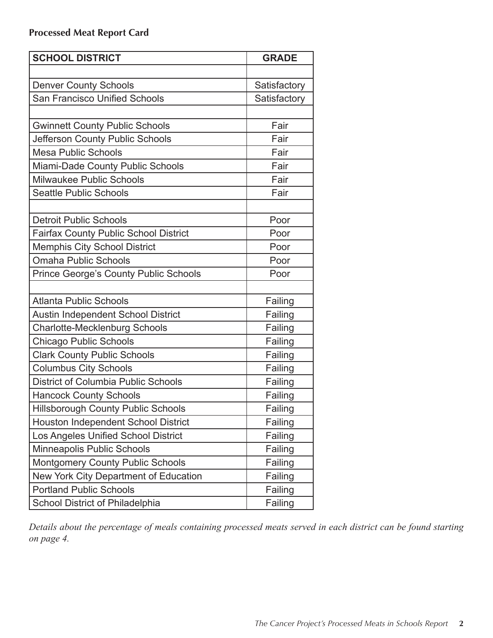| <b>SCHOOL DISTRICT</b>                       | <b>GRADE</b> |
|----------------------------------------------|--------------|
|                                              |              |
| <b>Denver County Schools</b>                 | Satisfactory |
| <b>San Francisco Unified Schools</b>         | Satisfactory |
|                                              |              |
| <b>Gwinnett County Public Schools</b>        | Fair         |
| Jefferson County Public Schools              | Fair         |
| <b>Mesa Public Schools</b>                   | Fair         |
| Miami-Dade County Public Schools             | Fair         |
| Milwaukee Public Schools                     | Fair         |
| <b>Seattle Public Schools</b>                | Fair         |
|                                              |              |
| <b>Detroit Public Schools</b>                | Poor         |
| <b>Fairfax County Public School District</b> | Poor         |
| <b>Memphis City School District</b>          | Poor         |
| <b>Omaha Public Schools</b>                  | Poor         |
| <b>Prince George's County Public Schools</b> | Poor         |
|                                              |              |
| <b>Atlanta Public Schools</b>                | Failing      |
| <b>Austin Independent School District</b>    | Failing      |
| <b>Charlotte-Mecklenburg Schools</b>         | Failing      |
| <b>Chicago Public Schools</b>                | Failing      |
| <b>Clark County Public Schools</b>           | Failing      |
| <b>Columbus City Schools</b>                 | Failing      |
| <b>District of Columbia Public Schools</b>   | Failing      |
| <b>Hancock County Schools</b>                | Failing      |
| Hillsborough County Public Schools           | Failing      |
| Houston Independent School District          | Failing      |
| Los Angeles Unified School District          | Failing      |
| Minneapolis Public Schools                   | Failing      |
| <b>Montgomery County Public Schools</b>      | Failing      |
| New York City Department of Education        | Failing      |
| <b>Portland Public Schools</b>               | Failing      |
| <b>School District of Philadelphia</b>       | Failing      |

*Details about the percentage of meals containing processed meats served in each district can be found starting on page 4.*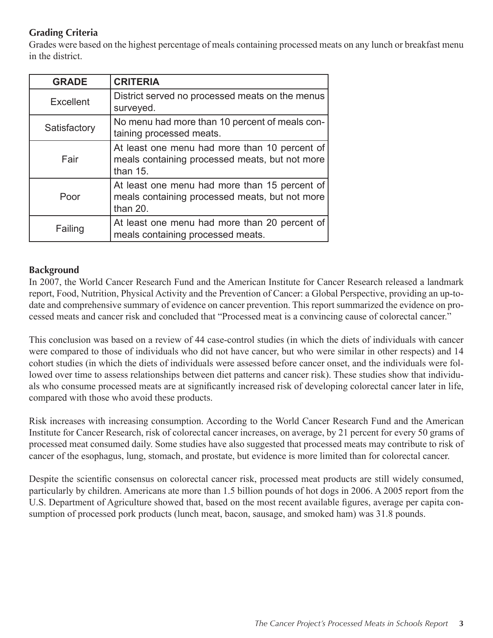## **Grading Criteria**

Grades were based on the highest percentage of meals containing processed meats on any lunch or breakfast menu in the district.

| <b>GRADE</b> | <b>CRITERIA</b>                                                                                               |
|--------------|---------------------------------------------------------------------------------------------------------------|
| Excellent    | District served no processed meats on the menus<br>surveyed.                                                  |
| Satisfactory | No menu had more than 10 percent of meals con-<br>taining processed meats.                                    |
| Fair         | At least one menu had more than 10 percent of<br>meals containing processed meats, but not more<br>than $15.$ |
| Poor         | At least one menu had more than 15 percent of<br>meals containing processed meats, but not more<br>than 20.   |
| Failing      | At least one menu had more than 20 percent of<br>meals containing processed meats.                            |

#### **Background**

In 2007, the World Cancer Research Fund and the American Institute for Cancer Research released a landmark report, Food, Nutrition, Physical Activity and the Prevention of Cancer: a Global Perspective, providing an up-todate and comprehensive summary of evidence on cancer prevention. This report summarized the evidence on processed meats and cancer risk and concluded that "Processed meat is a convincing cause of colorectal cancer."

This conclusion was based on a review of 44 case-control studies (in which the diets of individuals with cancer were compared to those of individuals who did not have cancer, but who were similar in other respects) and 14 cohort studies (in which the diets of individuals were assessed before cancer onset, and the individuals were followed over time to assess relationships between diet patterns and cancer risk). These studies show that individuals who consume processed meats are at significantly increased risk of developing colorectal cancer later in life, compared with those who avoid these products.

Risk increases with increasing consumption. According to the World Cancer Research Fund and the American Institute for Cancer Research, risk of colorectal cancer increases, on average, by 21 percent for every 50 grams of processed meat consumed daily. Some studies have also suggested that processed meats may contribute to risk of cancer of the esophagus, lung, stomach, and prostate, but evidence is more limited than for colorectal cancer.

Despite the scientific consensus on colorectal cancer risk, processed meat products are still widely consumed, particularly by children. Americans ate more than 1.5 billion pounds of hot dogs in 2006. A 2005 report from the U.S. Department of Agriculture showed that, based on the most recent available figures, average per capita consumption of processed pork products (lunch meat, bacon, sausage, and smoked ham) was 31.8 pounds.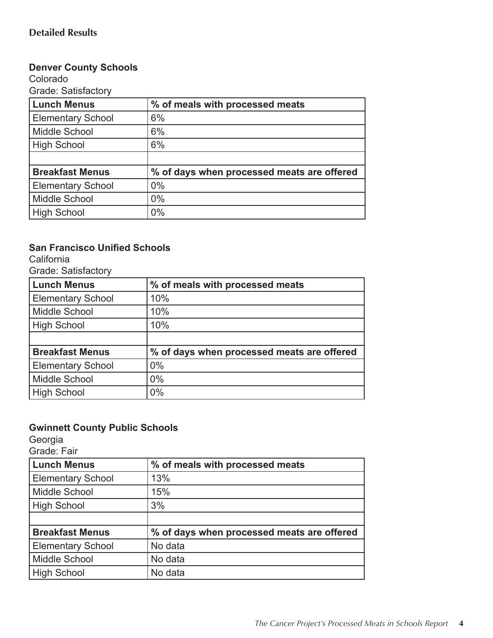#### **Denver County Schools**

Colorado Grade: Satisfactory

| <b>Lunch Menus</b>       | % of meals with processed meats            |
|--------------------------|--------------------------------------------|
| <b>Elementary School</b> | 6%                                         |
| Middle School            | 6%                                         |
| High School              | 6%                                         |
|                          |                                            |
| <b>Breakfast Menus</b>   | % of days when processed meats are offered |
| <b>Elementary School</b> | $0\%$                                      |
| <b>Middle School</b>     | $0\%$                                      |
| High School              | $0\%$                                      |

## **San Francisco Unified Schools**

**California** 

Grade: Satisfactory

| <b>Lunch Menus</b>       | % of meals with processed meats            |
|--------------------------|--------------------------------------------|
| <b>Elementary School</b> | 10%                                        |
| <b>Middle School</b>     | 10%                                        |
| <b>High School</b>       | 10%                                        |
|                          |                                            |
| <b>Breakfast Menus</b>   | % of days when processed meats are offered |
| <b>Elementary School</b> | 0%                                         |
| <b>Middle School</b>     | 0%                                         |
| High School              | 0%                                         |

## **Gwinnett County Public Schools**

Georgia

Grade: Fair

| <b>Lunch Menus</b>       | % of meals with processed meats            |
|--------------------------|--------------------------------------------|
| <b>Elementary School</b> | 13%                                        |
| Middle School            | 15%                                        |
| High School              | 3%                                         |
|                          |                                            |
| <b>Breakfast Menus</b>   | % of days when processed meats are offered |
| <b>Elementary School</b> | No data                                    |
| Middle School            | No data                                    |
| High School              | No data                                    |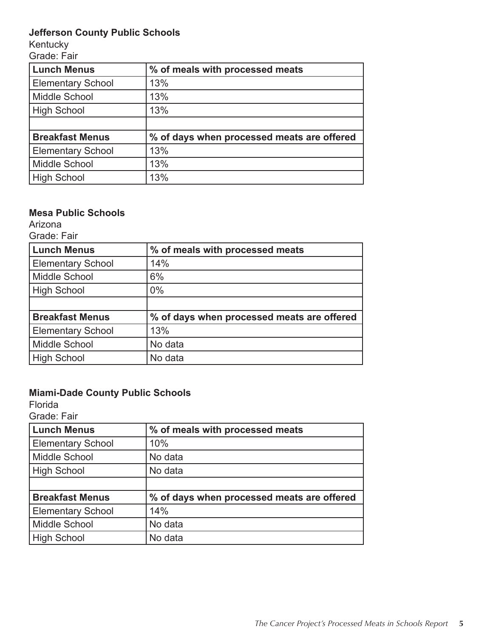## **Jefferson County Public Schools**

Kentucky

Grade: Fair

| <b>Lunch Menus</b>       | % of meals with processed meats            |
|--------------------------|--------------------------------------------|
| <b>Elementary School</b> | 13%                                        |
| Middle School            | 13%                                        |
| High School              | 13%                                        |
|                          |                                            |
| <b>Breakfast Menus</b>   | % of days when processed meats are offered |
| <b>Elementary School</b> | 13%                                        |
| <b>Middle School</b>     | 13%                                        |
| <b>High School</b>       | 13%                                        |

## **Mesa Public Schools**

Arizona

Grade: Fair

| <b>Lunch Menus</b>       | % of meals with processed meats            |
|--------------------------|--------------------------------------------|
| <b>Elementary School</b> | 14%                                        |
| <b>Middle School</b>     | 6%                                         |
| <b>High School</b>       | $0\%$                                      |
|                          |                                            |
| <b>Breakfast Menus</b>   | % of days when processed meats are offered |
| <b>Elementary School</b> | 13%                                        |
| <b>Middle School</b>     | No data                                    |
| <b>High School</b>       | No data                                    |

## **Miami-Dade County Public Schools**

Florida

Grade: Fair

| <b>Lunch Menus</b>       | % of meals with processed meats            |
|--------------------------|--------------------------------------------|
| <b>Elementary School</b> | 10%                                        |
| Middle School            | No data                                    |
| High School              | No data                                    |
|                          |                                            |
| <b>Breakfast Menus</b>   | % of days when processed meats are offered |
| <b>Elementary School</b> | 14%                                        |
| Middle School            | No data                                    |
| High School              | No data                                    |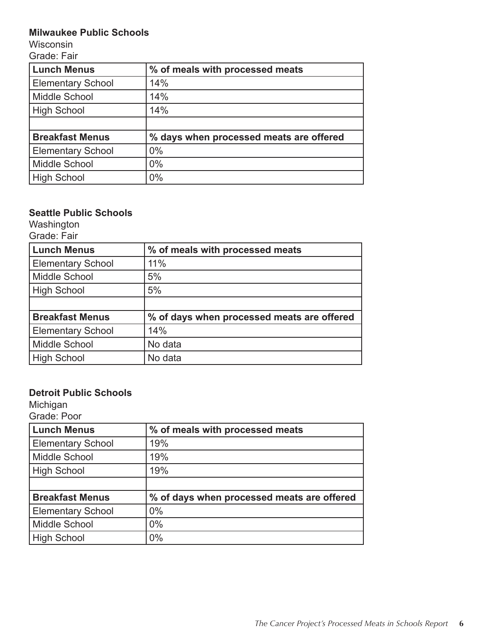#### **Milwaukee Public Schools**

Wisconsin

Grade: Fair

| <b>Lunch Menus</b>       | % of meals with processed meats         |
|--------------------------|-----------------------------------------|
| <b>Elementary School</b> | 14%                                     |
| Middle School            | 14%                                     |
| <b>High School</b>       | 14%                                     |
|                          |                                         |
| <b>Breakfast Menus</b>   | % days when processed meats are offered |
| <b>Elementary School</b> | $0\%$                                   |
| Middle School            | $0\%$                                   |
| <b>High School</b>       | 0%                                      |

## **Seattle Public Schools**

Washington Grade: Fair

| <b>Lunch Menus</b>       | % of meals with processed meats            |
|--------------------------|--------------------------------------------|
| <b>Elementary School</b> | 11%                                        |
| Middle School            | 5%                                         |
| <b>High School</b>       | 5%                                         |
|                          |                                            |
| <b>Breakfast Menus</b>   | % of days when processed meats are offered |
| <b>Elementary School</b> | 14%                                        |
| Middle School            | No data                                    |
| <b>High School</b>       | No data                                    |

## **Detroit Public Schools**

Michigan

| Grade: Poor              |                                            |
|--------------------------|--------------------------------------------|
| <b>Lunch Menus</b>       | % of meals with processed meats            |
| <b>Elementary School</b> | 19%                                        |
| Middle School            | 19%                                        |
| High School              | 19%                                        |
|                          |                                            |
| <b>Breakfast Menus</b>   | % of days when processed meats are offered |
| <b>Elementary School</b> | $0\%$                                      |
| Middle School            | $0\%$                                      |
| High School              | $0\%$                                      |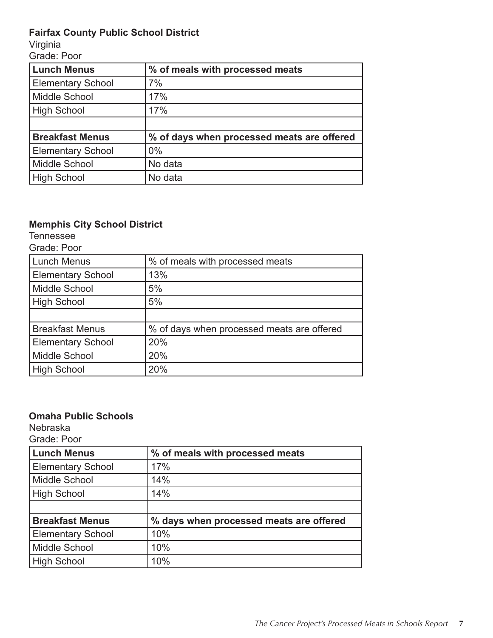## **Fairfax County Public School District**

Virginia

Grade: Poor

| <b>Lunch Menus</b>       | % of meals with processed meats            |
|--------------------------|--------------------------------------------|
| <b>Elementary School</b> | 7%                                         |
| Middle School            | 17%                                        |
| <b>High School</b>       | 17%                                        |
|                          |                                            |
| <b>Breakfast Menus</b>   | % of days when processed meats are offered |
| <b>Elementary School</b> | $0\%$                                      |
| Middle School            | No data                                    |
| <b>High School</b>       | No data                                    |

# **Memphis City School District**

Tennessee

| <b>Lunch Menus</b>       | % of meals with processed meats            |
|--------------------------|--------------------------------------------|
| <b>Elementary School</b> | 13%                                        |
| Middle School            | 5%                                         |
| <b>High School</b>       | 5%                                         |
|                          |                                            |
| <b>Breakfast Menus</b>   | % of days when processed meats are offered |
| <b>Elementary School</b> | 20%                                        |
| Middle School            | 20%                                        |
| <b>High School</b>       | 20%                                        |

#### **Omaha Public Schools**

Nebraska

Grade: Poor

| <b>Lunch Menus</b>       | % of meals with processed meats         |
|--------------------------|-----------------------------------------|
| <b>Elementary School</b> | 17%                                     |
| Middle School            | 14%                                     |
| High School              | 14%                                     |
|                          |                                         |
| <b>Breakfast Menus</b>   | % days when processed meats are offered |
| <b>Elementary School</b> | 10%                                     |
| Middle School            | 10%                                     |
| High School              | 10%                                     |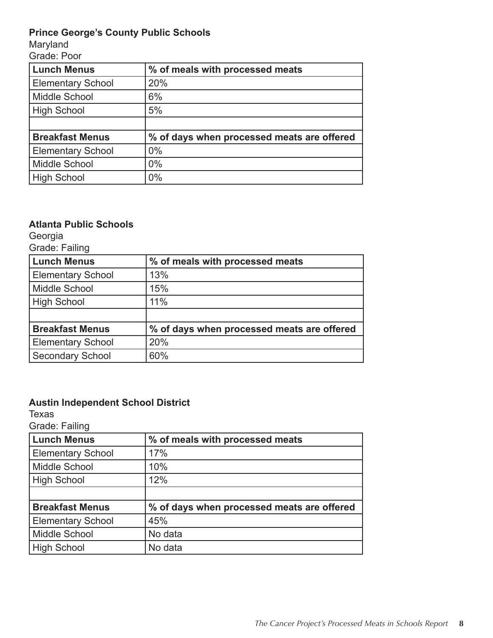## **Prince George's County Public Schools**

Maryland

Grade: Poor

| <b>Lunch Menus</b>       | % of meals with processed meats            |
|--------------------------|--------------------------------------------|
| <b>Elementary School</b> | 20%                                        |
| Middle School            | 6%                                         |
| <b>High School</b>       | 5%                                         |
|                          |                                            |
| <b>Breakfast Menus</b>   | % of days when processed meats are offered |
| <b>Elementary School</b> | $0\%$                                      |
| Middle School            | $0\%$                                      |
| <b>High School</b>       | 0%                                         |

#### **Atlanta Public Schools**

Georgia

| Grade: Failing |  |
|----------------|--|
|----------------|--|

| <b>Lunch Menus</b>       | % of meals with processed meats            |
|--------------------------|--------------------------------------------|
| <b>Elementary School</b> | 13%                                        |
| <b>Middle School</b>     | 15%                                        |
| <b>High School</b>       | 11%                                        |
|                          |                                            |
| <b>Breakfast Menus</b>   | % of days when processed meats are offered |
| <b>Elementary School</b> | 20%                                        |
| <b>Secondary School</b>  | 60%                                        |

## **Austin Independent School District**

Texas

| <b>Lunch Menus</b>       | % of meals with processed meats            |
|--------------------------|--------------------------------------------|
| <b>Elementary School</b> | 17%                                        |
| Middle School            | 10%                                        |
| High School              | 12%                                        |
|                          |                                            |
| <b>Breakfast Menus</b>   | % of days when processed meats are offered |
| <b>Elementary School</b> | 45%                                        |
| Middle School            | No data                                    |
| High School              | No data                                    |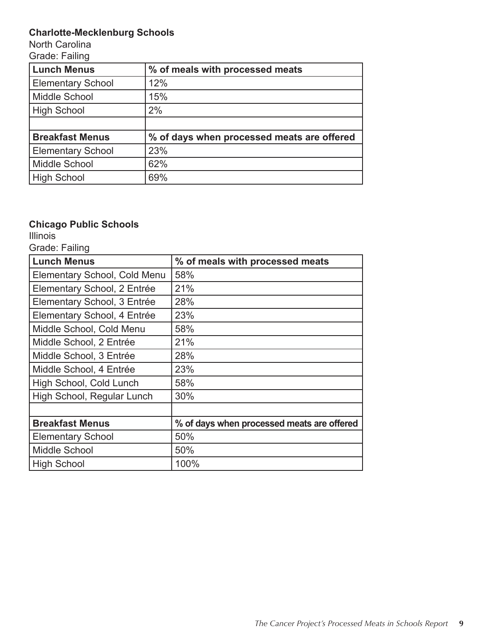# **Charlotte-Mecklenburg Schools**

North Carolina Grade: Failing

| <b>Lunch Menus</b>       | % of meals with processed meats            |
|--------------------------|--------------------------------------------|
| <b>Elementary School</b> | 12%                                        |
| Middle School            | 15%                                        |
| <b>High School</b>       | 2%                                         |
|                          |                                            |
| <b>Breakfast Menus</b>   | % of days when processed meats are offered |
| <b>Elementary School</b> | 23%                                        |
| Middle School            | 62%                                        |
| <b>High School</b>       | 69%                                        |

# **Chicago Public Schools**

**Illinois** 

Grade: Failing

| <b>Lunch Menus</b>           | % of meals with processed meats            |
|------------------------------|--------------------------------------------|
| Elementary School, Cold Menu | 58%                                        |
| Elementary School, 2 Entrée  | 21%                                        |
| Elementary School, 3 Entrée  | 28%                                        |
| Elementary School, 4 Entrée  | 23%                                        |
| Middle School, Cold Menu     | 58%                                        |
| Middle School, 2 Entrée      | 21%                                        |
| Middle School, 3 Entrée      | 28%                                        |
| Middle School, 4 Entrée      | 23%                                        |
| High School, Cold Lunch      | 58%                                        |
| High School, Regular Lunch   | 30%                                        |
|                              |                                            |
| <b>Breakfast Menus</b>       | % of days when processed meats are offered |
| <b>Elementary School</b>     | 50%                                        |
| Middle School                | 50%                                        |
| <b>High School</b>           | 100%                                       |

<u> 1980 - Johann Barbara, martxa alemaniar a</u>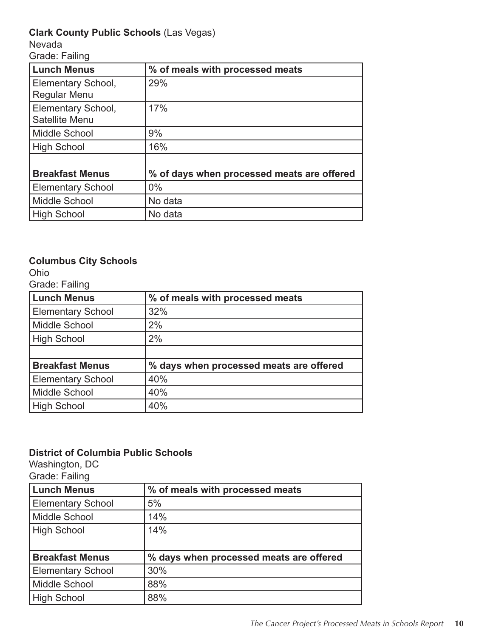## **Clark County Public Schools** (Las Vegas)

Nevada

Grade: Failing

| <b>Lunch Menus</b>       | % of meals with processed meats            |
|--------------------------|--------------------------------------------|
| Elementary School,       | 29%                                        |
| <b>Regular Menu</b>      |                                            |
| Elementary School,       | 17%                                        |
| Satellite Menu           |                                            |
| Middle School            | 9%                                         |
| <b>High School</b>       | 16%                                        |
|                          |                                            |
| <b>Breakfast Menus</b>   | % of days when processed meats are offered |
| <b>Elementary School</b> | $0\%$                                      |
| <b>Middle School</b>     | No data                                    |
| <b>High School</b>       | No data                                    |

## **Columbus City Schools**

Ohio

Grade: Failing

| <b>Lunch Menus</b>       | % of meals with processed meats         |
|--------------------------|-----------------------------------------|
| <b>Elementary School</b> | 32%                                     |
| Middle School            | 2%                                      |
| High School              | 2%                                      |
|                          |                                         |
| <b>Breakfast Menus</b>   | % days when processed meats are offered |
| <b>Elementary School</b> | 40%                                     |
| Middle School            | 40%                                     |
| High School              | 40%                                     |

#### **District of Columbia Public Schools**

Washington, DC

| <b>Lunch Menus</b>       | % of meals with processed meats         |
|--------------------------|-----------------------------------------|
| <b>Elementary School</b> | 5%                                      |
| Middle School            | 14%                                     |
| <b>High School</b>       | 14%                                     |
|                          |                                         |
| <b>Breakfast Menus</b>   | % days when processed meats are offered |
| <b>Elementary School</b> | 30%                                     |
| Middle School            | 88%                                     |
| <b>High School</b>       | 88%                                     |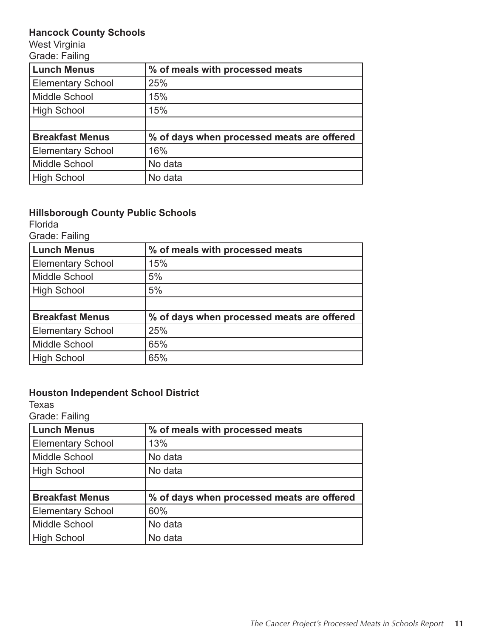## **Hancock County Schools**

West Virginia Grade: Failing

| <b>Lunch Menus</b>       | % of meals with processed meats            |
|--------------------------|--------------------------------------------|
| <b>Elementary School</b> | 25%                                        |
| Middle School            | 15%                                        |
| <b>High School</b>       | 15%                                        |
|                          |                                            |
| <b>Breakfast Menus</b>   | % of days when processed meats are offered |
| <b>Elementary School</b> | 16%                                        |
| Middle School            | No data                                    |
| <b>High School</b>       | No data                                    |

#### **Hillsborough County Public Schools**

Florida

Grade: Failing

| <b>Lunch Menus</b>       | % of meals with processed meats            |
|--------------------------|--------------------------------------------|
| <b>Elementary School</b> | 15%                                        |
| <b>Middle School</b>     | 5%                                         |
| <b>High School</b>       | 5%                                         |
|                          |                                            |
| <b>Breakfast Menus</b>   | % of days when processed meats are offered |
| <b>Elementary School</b> | 25%                                        |
| <b>Middle School</b>     | 65%                                        |
| <b>High School</b>       | 65%                                        |

## **Houston Independent School District**

Texas

| <b>Lunch Menus</b>       | % of meals with processed meats            |
|--------------------------|--------------------------------------------|
| <b>Elementary School</b> | 13%                                        |
| Middle School            | No data                                    |
| High School              | No data                                    |
|                          |                                            |
| <b>Breakfast Menus</b>   | % of days when processed meats are offered |
| <b>Elementary School</b> | 60%                                        |
| Middle School            | No data                                    |
| High School              | No data                                    |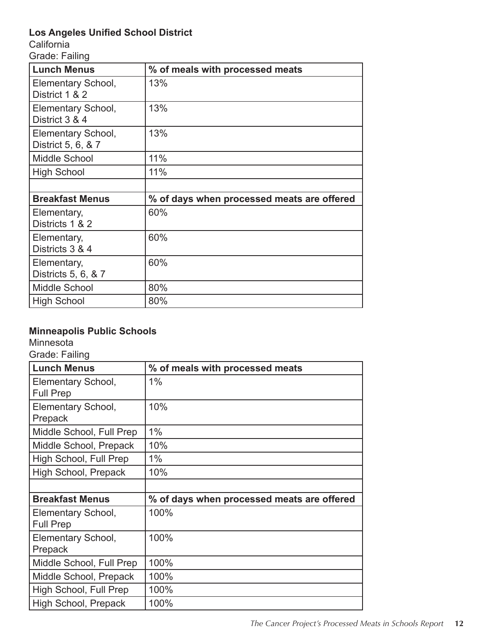## **Los Angeles Unified School District**

**California** 

Grade: Failing

| <b>Lunch Menus</b>                       | % of meals with processed meats            |
|------------------------------------------|--------------------------------------------|
| Elementary School,<br>District 1 & 2     | 13%                                        |
| Elementary School,<br>District 3 & 4     | 13%                                        |
| Elementary School,<br>District 5, 6, & 7 | 13%                                        |
| Middle School                            | 11%                                        |
| <b>High School</b>                       | 11%                                        |
|                                          |                                            |
| <b>Breakfast Menus</b>                   | % of days when processed meats are offered |
| Elementary,<br>Districts 1 & 2           | 60%                                        |
| Elementary,<br>Districts 3 & 4           | 60%                                        |
| Elementary,<br>Districts 5, 6, & 7       | 60%                                        |
| Middle School                            | 80%                                        |
| <b>High School</b>                       | 80%                                        |

## **Minneapolis Public Schools**

**Minnesota** 

| <b>Lunch Menus</b>                     | % of meals with processed meats            |
|----------------------------------------|--------------------------------------------|
| Elementary School,<br><b>Full Prep</b> | 1%                                         |
| Elementary School,<br>Prepack          | 10%                                        |
| Middle School, Full Prep               | 1%                                         |
| Middle School, Prepack                 | 10%                                        |
| High School, Full Prep                 | 1%                                         |
| High School, Prepack                   | 10%                                        |
|                                        |                                            |
| <b>Breakfast Menus</b>                 | % of days when processed meats are offered |
| Elementary School,<br><b>Full Prep</b> | 100%                                       |
| Elementary School,                     | 100%                                       |
| Prepack                                |                                            |
| Middle School, Full Prep               | 100%                                       |
| Middle School, Prepack                 | 100%                                       |
| High School, Full Prep                 | 100%                                       |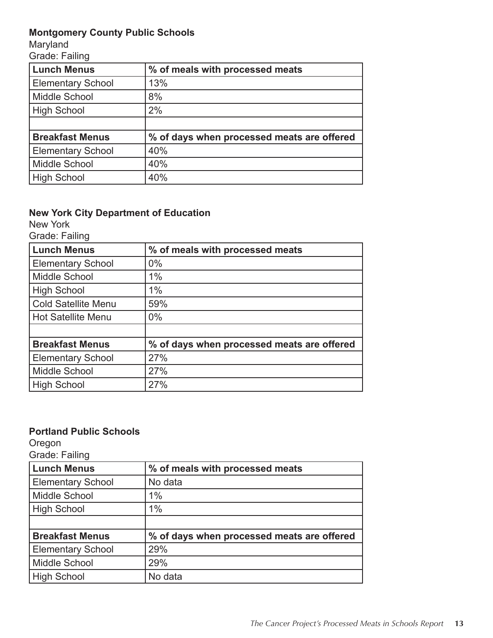## **Montgomery County Public Schools**

Maryland

Grade: Failing

| <b>Lunch Menus</b>       | % of meals with processed meats            |
|--------------------------|--------------------------------------------|
| <b>Elementary School</b> | 13%                                        |
| Middle School            | 8%                                         |
| <b>High School</b>       | 2%                                         |
|                          |                                            |
| <b>Breakfast Menus</b>   | % of days when processed meats are offered |
| <b>Elementary School</b> | 40%                                        |
| Middle School            | 40%                                        |
| <b>High School</b>       | 40%                                        |

## **New York City Department of Education**

New York

Grade: Failing

| <b>Lunch Menus</b>         | % of meals with processed meats            |
|----------------------------|--------------------------------------------|
| <b>Elementary School</b>   | $0\%$                                      |
| Middle School              | 1%                                         |
| High School                | 1%                                         |
| <b>Cold Satellite Menu</b> | 59%                                        |
| Hot Satellite Menu         | $0\%$                                      |
|                            |                                            |
| <b>Breakfast Menus</b>     | % of days when processed meats are offered |
| <b>Elementary School</b>   | 27%                                        |
| Middle School              | 27%                                        |
| High School                | 27%                                        |

## **Portland Public Schools**

Oregon

| <b>Lunch Menus</b>       | % of meals with processed meats            |
|--------------------------|--------------------------------------------|
| <b>Elementary School</b> | No data                                    |
| Middle School            | $1\%$                                      |
| High School              | 1%                                         |
|                          |                                            |
| <b>Breakfast Menus</b>   | % of days when processed meats are offered |
| <b>Elementary School</b> | 29%                                        |
| Middle School            | 29%                                        |
| High School              | No data                                    |